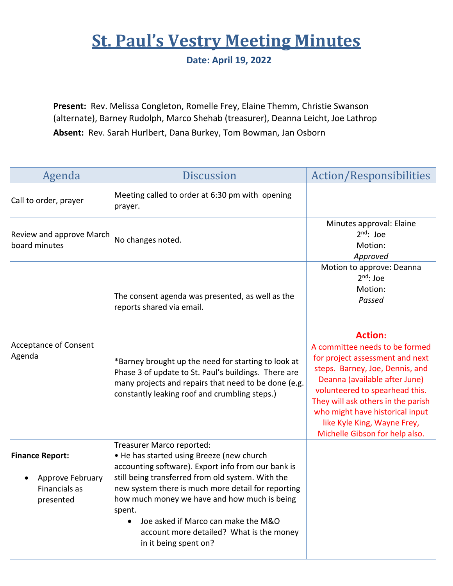## **St. Paul's Vestry Meeting Minutes**

**Date: April 19, 2022**

**Present:** Rev. Melissa Congleton, Romelle Frey, Elaine Themm, Christie Swanson (alternate), Barney Rudolph, Marco Shehab (treasurer), Deanna Leicht, Joe Lathrop **Absent:** Rev. Sarah Hurlbert, Dana Burkey, Tom Bowman, Jan Osborn

| Agenda                                                                   | <b>Discussion</b>                                                                                                                                                                                                                                                                                                                                                                                             | Action/Responsibilities                                                                                                                                                                                                                                                                                                             |
|--------------------------------------------------------------------------|---------------------------------------------------------------------------------------------------------------------------------------------------------------------------------------------------------------------------------------------------------------------------------------------------------------------------------------------------------------------------------------------------------------|-------------------------------------------------------------------------------------------------------------------------------------------------------------------------------------------------------------------------------------------------------------------------------------------------------------------------------------|
| Call to order, prayer                                                    | Meeting called to order at 6:30 pm with opening<br>prayer.                                                                                                                                                                                                                                                                                                                                                    |                                                                                                                                                                                                                                                                                                                                     |
| Review and approve March<br>board minutes                                | No changes noted.                                                                                                                                                                                                                                                                                                                                                                                             | Minutes approval: Elaine<br>$2nd$ : Joe<br>Motion:<br>Approved                                                                                                                                                                                                                                                                      |
|                                                                          | The consent agenda was presented, as well as the<br>reports shared via email.                                                                                                                                                                                                                                                                                                                                 | Motion to approve: Deanna<br>$2nd$ : Joe<br>Motion:<br>Passed                                                                                                                                                                                                                                                                       |
| <b>Acceptance of Consent</b><br>Agenda                                   | *Barney brought up the need for starting to look at<br>Phase 3 of update to St. Paul's buildings. There are<br>many projects and repairs that need to be done (e.g.<br>constantly leaking roof and crumbling steps.)                                                                                                                                                                                          | <b>Action:</b><br>A committee needs to be formed<br>for project assessment and next<br>steps. Barney, Joe, Dennis, and<br>Deanna (available after June)<br>volunteered to spearhead this.<br>They will ask others in the parish<br>who might have historical input<br>like Kyle King, Wayne Frey,<br>Michelle Gibson for help also. |
| <b>Finance Report:</b><br>Approve February<br>Financials as<br>presented | Treasurer Marco reported:<br>• He has started using Breeze (new church<br>accounting software). Export info from our bank is<br>still being transferred from old system. With the<br>new system there is much more detail for reporting<br>how much money we have and how much is being<br>spent.<br>Joe asked if Marco can make the M&O<br>account more detailed? What is the money<br>in it being spent on? |                                                                                                                                                                                                                                                                                                                                     |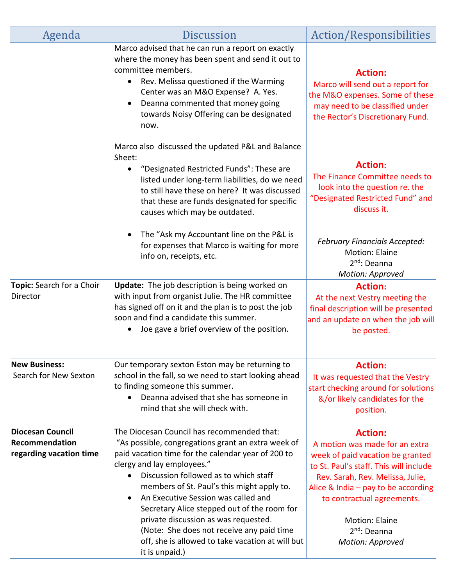| Agenda                                                               | <b>Discussion</b>                                                                                                                                                                                                                                                                                                                                                                                                                                                                                                            | Action/Responsibilities                                                                                                                                                                                                                                                                                            |
|----------------------------------------------------------------------|------------------------------------------------------------------------------------------------------------------------------------------------------------------------------------------------------------------------------------------------------------------------------------------------------------------------------------------------------------------------------------------------------------------------------------------------------------------------------------------------------------------------------|--------------------------------------------------------------------------------------------------------------------------------------------------------------------------------------------------------------------------------------------------------------------------------------------------------------------|
|                                                                      | Marco advised that he can run a report on exactly<br>where the money has been spent and send it out to<br>committee members.<br>Rev. Melissa questioned if the Warming<br>$\bullet$<br>Center was an M&O Expense? A. Yes.<br>Deanna commented that money going<br>towards Noisy Offering can be designated<br>now.                                                                                                                                                                                                           | <b>Action:</b><br>Marco will send out a report for<br>the M&O expenses. Some of these<br>may need to be classified under<br>the Rector's Discretionary Fund.                                                                                                                                                       |
|                                                                      | Marco also discussed the updated P&L and Balance<br>Sheet:<br>"Designated Restricted Funds": These are<br>listed under long-term liabilities, do we need<br>to still have these on here? It was discussed<br>that these are funds designated for specific<br>causes which may be outdated.                                                                                                                                                                                                                                   | <b>Action:</b><br>The Finance Committee needs to<br>look into the question re. the<br>"Designated Restricted Fund" and<br>discuss it.                                                                                                                                                                              |
|                                                                      | The "Ask my Accountant line on the P&L is<br>for expenses that Marco is waiting for more<br>info on, receipts, etc.                                                                                                                                                                                                                                                                                                                                                                                                          | <b>February Financials Accepted:</b><br><b>Motion: Elaine</b><br>$2nd$ : Deanna<br><b>Motion: Approved</b>                                                                                                                                                                                                         |
| Topic: Search for a Choir<br>Director                                | Update: The job description is being worked on<br>with input from organist Julie. The HR committee<br>has signed off on it and the plan is to post the job<br>soon and find a candidate this summer.<br>Joe gave a brief overview of the position.                                                                                                                                                                                                                                                                           | <b>Action:</b><br>At the next Vestry meeting the<br>final description will be presented<br>and an update on when the job will<br>be posted.                                                                                                                                                                        |
| <b>New Business:</b><br>Search for New Sexton                        | Our temporary sexton Eston may be returning to<br>school in the fall, so we need to start looking ahead<br>to finding someone this summer.<br>Deanna advised that she has someone in<br>mind that she will check with.                                                                                                                                                                                                                                                                                                       | <b>Action:</b><br>It was requested that the Vestry<br>start checking around for solutions<br>&/or likely candidates for the<br>position.                                                                                                                                                                           |
| <b>Diocesan Council</b><br>Recommendation<br>regarding vacation time | The Diocesan Council has recommended that:<br>"As possible, congregations grant an extra week of<br>paid vacation time for the calendar year of 200 to<br>clergy and lay employees."<br>Discussion followed as to which staff<br>members of St. Paul's this might apply to.<br>An Executive Session was called and<br>Secretary Alice stepped out of the room for<br>private discussion as was requested.<br>(Note: She does not receive any paid time<br>off, she is allowed to take vacation at will but<br>it is unpaid.) | <b>Action:</b><br>A motion was made for an extra<br>week of paid vacation be granted<br>to St. Paul's staff. This will include<br>Rev. Sarah, Rev. Melissa, Julie,<br>Alice & India $-$ pay to be according<br>to contractual agreements.<br><b>Motion: Elaine</b><br>2 <sup>nd</sup> : Deanna<br>Motion: Approved |